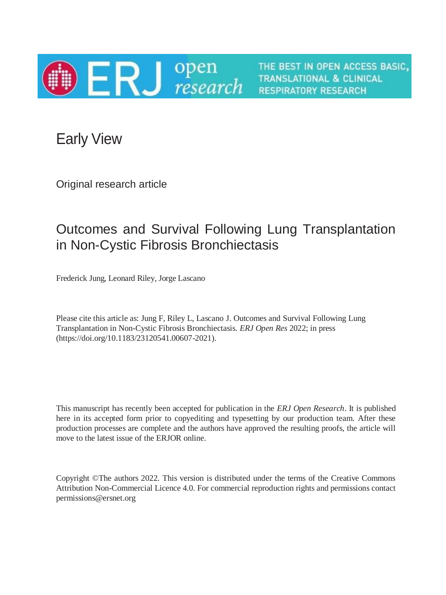

THE BEST IN OPEN ACCESS BASIC, **TRANSLATIONAL & CLINICAL RESPIRATORY RESEARCH** 

Early View

Original research article

# Outcomes and Survival Following Lung Transplantation in Non-Cystic Fibrosis Bronchiectasis

Frederick Jung, Leonard Riley, Jorge Lascano

Please cite this article as: Jung F, Riley L, Lascano J. Outcomes and Survival Following Lung Transplantation in Non-Cystic Fibrosis Bronchiectasis. *ERJ Open Res* 2022; in press (https://doi.org/10.1183/23120541.00607-2021).

This manuscript has recently been accepted for publication in the *ERJ Open Research*. It is published here in its accepted form prior to copyediting and typesetting by our production team. After these production processes are complete and the authors have approved the resulting proofs, the article will move to the latest issue of the ERJOR online.

Copyright ©The authors 2022. This version is distributed under the terms of the Creative Commons Attribution Non-Commercial Licence 4.0. For commercial reproduction rights and permissions contact permissions@ersnet.org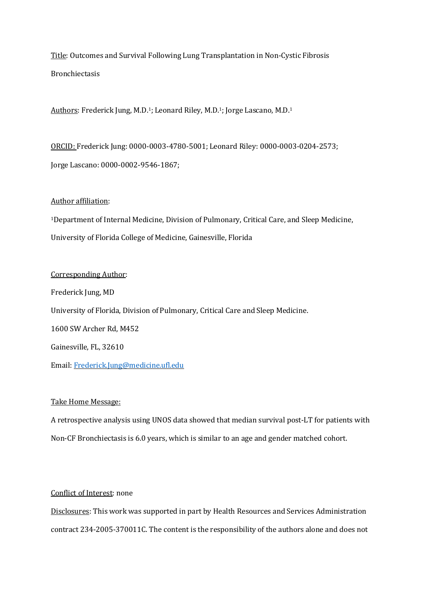Title: Outcomes and Survival Following Lung Transplantation in Non-Cystic Fibrosis Bronchiectasis

Authors: Frederick Jung, M.D.1; Leonard Riley, M.D.1; Jorge Lascano, M.D.<sup>1</sup>

ORCID: Frederick Jung: 0000-0003-4780-5001; Leonard Riley: 0000-0003-0204-2573; Jorge Lascano: 0000-0002-9546-1867;

# Author affiliation:

<sup>1</sup>Department of Internal Medicine, Division of Pulmonary, Critical Care, and Sleep Medicine, University of Florida College of Medicine, Gainesville, Florida

Corresponding Author: Frederick Jung, MD University of Florida, Division of Pulmonary, Critical Care and Sleep Medicine. 1600 SW Archer Rd, M452 Gainesville, FL, 32610 Email: [Frederick.Jung@medicine.ufl.edu](mailto:Frederick.Jung@medicine.ufl.edu)

# Take Home Message:

A retrospective analysis using UNOS data showed that median survival post-LT for patients with Non-CF Bronchiectasis is 6.0 years, which is similar to an age and gender matched cohort.

# Conflict of Interest: none

Disclosures: This work was supported in part by Health Resources and Services Administration contract 234-2005-370011C. The content is the responsibility of the authors alone and does not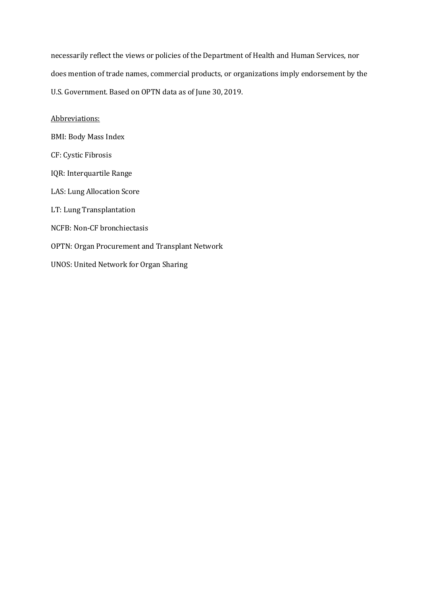necessarily reflect the views or policies of the Department of Health and Human Services, nor does mention of trade names, commercial products, or organizations imply endorsement by the U.S. Government. Based on OPTN data as of June 30, 2019.

Abbreviations:

BMI: Body Mass Index

CF: Cystic Fibrosis

IQR: Interquartile Range

LAS: Lung Allocation Score

LT: Lung Transplantation

NCFB: Non-CF bronchiectasis

OPTN: Organ Procurement and Transplant Network

UNOS: United Network for Organ Sharing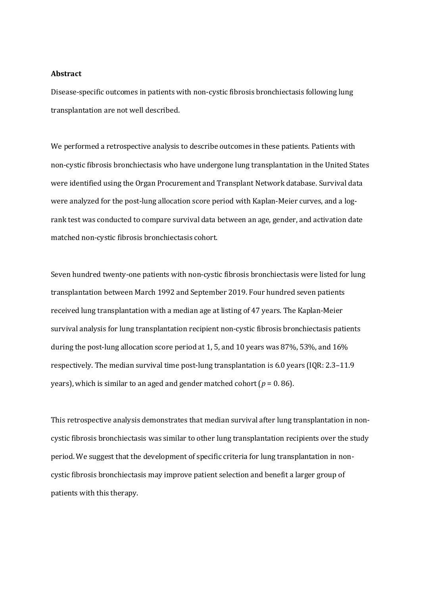## **Abstract**

Disease-specific outcomes in patients with non-cystic fibrosis bronchiectasis following lung transplantation are not well described.

We performed a retrospective analysis to describe outcomes in these patients. Patients with non-cystic fibrosis bronchiectasis who have undergone lung transplantation in the United States were identified using the Organ Procurement and Transplant Network database. Survival data were analyzed for the post-lung allocation score period with Kaplan-Meier curves, and a logrank test was conducted to compare survival data between an age, gender, and activation date matched non-cystic fibrosis bronchiectasis cohort.

Seven hundred twenty-one patients with non-cystic fibrosis bronchiectasis were listed for lung transplantation between March 1992 and September 2019. Four hundred seven patients received lung transplantation with a median age at listing of 47 years. The Kaplan-Meier survival analysis for lung transplantation recipient non-cystic fibrosis bronchiectasis patients during the post-lung allocation score period at 1, 5, and 10 years was 87%, 53%, and 16% respectively. The median survival time post-lung transplantation is 6.0 years (IQR: 2.3–11.9 years), which is similar to an aged and gender matched cohort (*p* = 0. 86).

This retrospective analysis demonstrates that median survival after lung transplantation in noncystic fibrosis bronchiectasis was similar to other lung transplantation recipients over the study period. We suggest that the development of specific criteria for lung transplantation in noncystic fibrosis bronchiectasis may improve patient selection and benefit a larger group of patients with this therapy.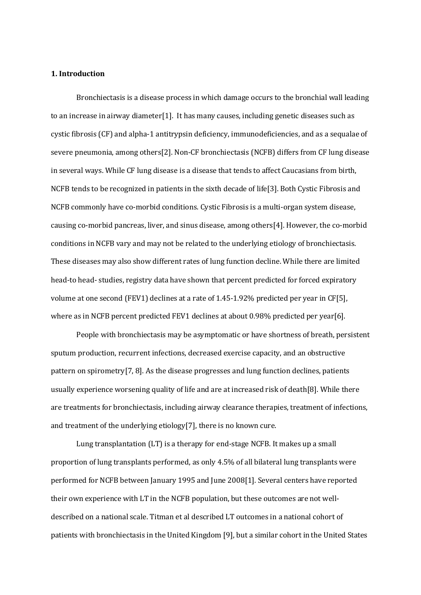## **1. Introduction**

Bronchiectasis is a disease process in which damage occurs to the bronchial wall leading to an increase in airway diameter[1]. It has many causes, including genetic diseases such as cystic fibrosis (CF) and alpha-1 antitrypsin deficiency, immunodeficiencies, and as a sequalae of severe pneumonia, among others[2]. Non-CF bronchiectasis (NCFB) differs from CF lung disease in several ways. While CF lung disease is a disease that tends to affect Caucasians from birth, NCFB tends to be recognized in patients in the sixth decade of life[3]. Both Cystic Fibrosis and NCFB commonly have co-morbid conditions. Cystic Fibrosis is a multi-organ system disease, causing co-morbid pancreas, liver, and sinus disease, among others[4]. However, the co-morbid conditions in NCFB vary and may not be related to the underlying etiology of bronchiectasis. These diseases may also show different rates of lung function decline. While there are limited head-to head- studies, registry data have shown that percent predicted for forced expiratory volume at one second (FEV1) declines at a rate of 1.45-1.92% predicted per year in CF[5], where as in NCFB percent predicted FEV1 declines at about 0.98% predicted per year[6].

People with bronchiectasis may be asymptomatic or have shortness of breath, persistent sputum production, recurrent infections, decreased exercise capacity, and an obstructive pattern on spirometry[7, 8]. As the disease progresses and lung function declines, patients usually experience worsening quality of life and are at increased risk of death[8]. While there are treatments for bronchiectasis, including airway clearance therapies, treatment of infections, and treatment of the underlying etiology[7], there is no known cure.

Lung transplantation (LT) is a therapy for end-stage NCFB. It makes up a small proportion of lung transplants performed, as only 4.5% of all bilateral lung transplants were performed for NCFB between January 1995 and June 2008[1]. Several centers have reported their own experience with LT in the NCFB population, but these outcomes are not welldescribed on a national scale. Titman et al described LT outcomes in a national cohort of patients with bronchiectasis in the United Kingdom [9], but a similar cohort in the United States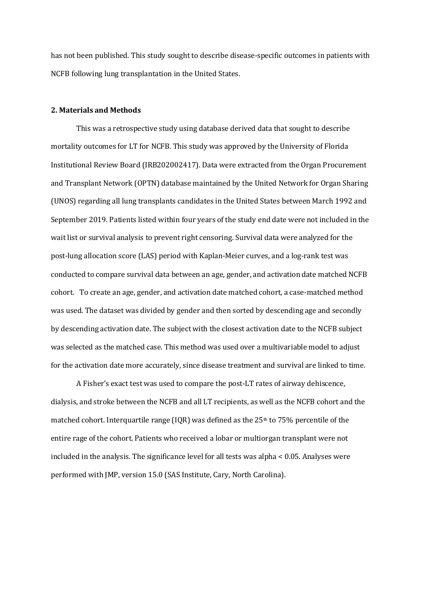has not been published. This study sought to describe disease-specific outcomes in patients with NCFB following lung transplantation in the United States.

#### **2. Materials and Methods**

This was a retrospective study using database derived data that sought to describe mortality outcomes for LT for NCFB. This study was approved by the University of Florida Institutional Review Board (IRB202002417). Data were extracted from the Organ Procurement and Transplant Network (OPTN) database maintained by the United Network for Organ Sharing (UNOS) regarding all lung transplants candidates in the United States between March 1992 and September 2019. Patients listed within four years of the study end date were not included in the wait list or survival analysis to prevent right censoring. Survival data were analyzed for the post-lung allocation score (LAS) period with Kaplan-Meier curves, and a log-rank test was conducted to compare survival data between an age, gender, and activation date matched NCFB cohort. To create an age, gender, and activation date matched cohort, a case-matched method was used. The dataset was divided by gender and then sorted by descending age and secondly by descending activation date. The subject with the closest activation date to the NCFB subject was selected as the matched case. This method was used over a multivariable model to adjust for the activation date more accurately, since disease treatment and survival are linked to time.

A Fisher's exact test was used to compare the post-LT rates of airway dehiscence, dialysis, and stroke between the NCFB and all LT recipients, as well as the NCFB cohort and the matched cohort. Interquartile range (IQR) was defined as the  $25<sup>th</sup>$  to 75% percentile of the entire rage of the cohort. Patients who received a lobar or multiorgan transplant were not included in the analysis. The significance level for all tests was alpha < 0.05. Analyses were performed with JMP, version 15.0 (SAS Institute, Cary, North Carolina).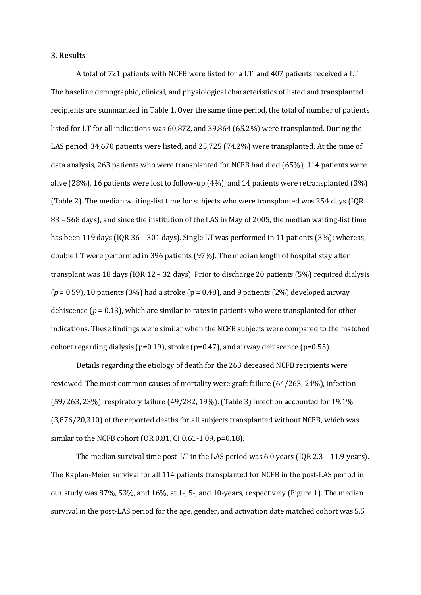#### **3. Results**

A total of 721 patients with NCFB were listed for a LT, and 407 patients received a LT. The baseline demographic, clinical, and physiological characteristics of listed and transplanted recipients are summarized in Table 1. Over the same time period, the total of number of patients listed for LT for all indications was 60,872, and 39,864 (65.2%) were transplanted. During the LAS period, 34,670 patients were listed, and 25,725 (74.2%) were transplanted. At the time of data analysis, 263 patients who were transplanted for NCFB had died (65%), 114 patients were alive (28%), 16 patients were lost to follow-up (4%), and 14 patients were retransplanted (3%) (Table 2). The median waiting-list time for subjects who were transplanted was 254 days (IQR 83 – 568 days), and since the institution of the LAS in May of 2005, the median waiting-list time has been 119 days (IQR 36 – 301 days). Single LT was performed in 11 patients (3%); whereas, double LT were performed in 396 patients (97%). The median length of hospital stay after transplant was 18 days (IQR 12 – 32 days). Prior to discharge 20 patients (5%) required dialysis  $(p = 0.59)$ , 10 patients (3%) had a stroke ( $p = 0.48$ ), and 9 patients (2%) developed airway dehiscence ( $p = 0.13$ ), which are similar to rates in patients who were transplanted for other indications. These findings were similar when the NCFB subjects were compared to the matched cohort regarding dialysis ( $p=0.19$ ), stroke ( $p=0.47$ ), and airway dehiscence ( $p=0.55$ ).

Details regarding the etiology of death for the 263 deceased NCFB recipients were reviewed. The most common causes of mortality were graft failure (64/263, 24%), infection (59/263, 23%), respiratory failure (49/282, 19%). (Table 3) Infection accounted for 19.1% (3,876/20,310) of the reported deaths for all subjects transplanted without NCFB, which was similar to the NCFB cohort (OR 0.81, CI 0.61-1.09, p=0.18).

The median survival time post-LT in the LAS period was 6.0 years (IQR 2.3 – 11.9 years). The Kaplan-Meier survival for all 114 patients transplanted for NCFB in the post-LAS period in our study was 87%, 53%, and 16%, at 1-, 5-, and 10-years, respectively (Figure 1). The median survival in the post-LAS period for the age, gender, and activation date matched cohort was 5.5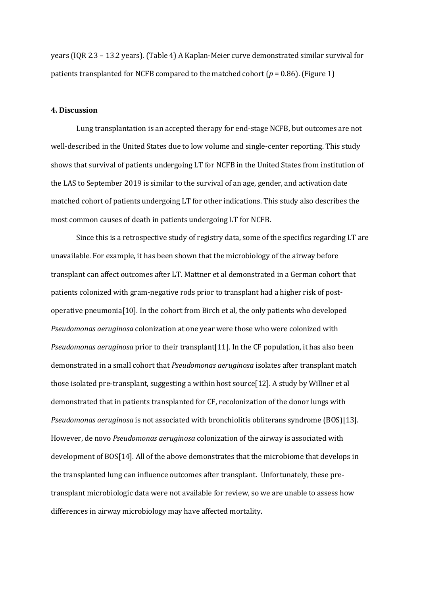years (IQR 2.3 – 13.2 years). (Table 4) A Kaplan-Meier curve demonstrated similar survival for patients transplanted for NCFB compared to the matched cohort ( $p = 0.86$ ). (Figure 1)

## **4. Discussion**

Lung transplantation is an accepted therapy for end-stage NCFB, but outcomes are not well-described in the United States due to low volume and single-center reporting. This study shows that survival of patients undergoing LT for NCFB in the United States from institution of the LAS to September 2019 is similar to the survival of an age, gender, and activation date matched cohort of patients undergoing LT for other indications. This study also describes the most common causes of death in patients undergoing LT for NCFB.

Since this is a retrospective study of registry data, some of the specifics regarding LT are unavailable. For example, it has been shown that the microbiology of the airway before transplant can affect outcomes after LT. Mattner et al demonstrated in a German cohort that patients colonized with gram-negative rods prior to transplant had a higher risk of postoperative pneumonia[10]. In the cohort from Birch et al, the only patients who developed *Pseudomonas aeruginosa* colonization at one year were those who were colonized with *Pseudomonas aeruginosa* prior to their transplant[11]. In the CF population, it has also been demonstrated in a small cohort that *Pseudomonas aeruginosa* isolates after transplant match those isolated pre-transplant, suggesting a within host source[12]. A study by Willner et al demonstrated that in patients transplanted for CF, recolonization of the donor lungs with *Pseudomonas aeruginosa* is not associated with bronchiolitis obliterans syndrome (BOS)[13]. However, de novo *Pseudomonas aeruginosa* colonization of the airway is associated with development of BOS[14]. All of the above demonstrates that the microbiome that develops in the transplanted lung can influence outcomes after transplant. Unfortunately, these pretransplant microbiologic data were not available for review, so we are unable to assess how differences in airway microbiology may have affected mortality.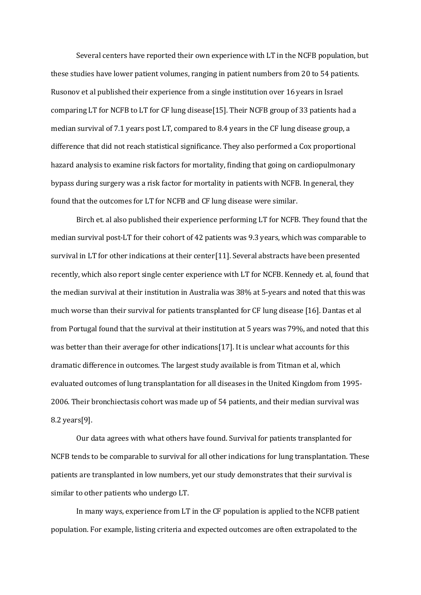Several centers have reported their own experience with LT in the NCFB population, but these studies have lower patient volumes, ranging in patient numbers from 20 to 54 patients. Rusonov et al published their experience from a single institution over 16 years in Israel comparing LT for NCFB to LT for CF lung disease[15]. Their NCFB group of 33 patients had a median survival of 7.1 years post LT, compared to 8.4 years in the CF lung disease group, a difference that did not reach statistical significance. They also performed a Cox proportional hazard analysis to examine risk factors for mortality, finding that going on cardiopulmonary bypass during surgery was a risk factor for mortality in patients with NCFB. In general, they found that the outcomes for LT for NCFB and CF lung disease were similar.

Birch et. al also published their experience performing LT for NCFB. They found that the median survival post-LT for their cohort of 42 patients was 9.3 years, which was comparable to survival in LT for other indications at their center[11]. Several abstracts have been presented recently, which also report single center experience with LT for NCFB. Kennedy et. al, found that the median survival at their institution in Australia was 38% at 5-years and noted that this was much worse than their survival for patients transplanted for CF lung disease [16]. Dantas et al from Portugal found that the survival at their institution at 5 years was 79%, and noted that this was better than their average for other indications[17]. It is unclear what accounts for this dramatic difference in outcomes. The largest study available is from Titman et al, which evaluated outcomes of lung transplantation for all diseases in the United Kingdom from 1995- 2006. Their bronchiectasis cohort was made up of 54 patients, and their median survival was 8.2 years[9].

Our data agrees with what others have found. Survival for patients transplanted for NCFB tends to be comparable to survival for all other indications for lung transplantation. These patients are transplanted in low numbers, yet our study demonstrates that their survival is similar to other patients who undergo LT.

In many ways, experience from LT in the CF population is applied to the NCFB patient population. For example, listing criteria and expected outcomes are often extrapolated to the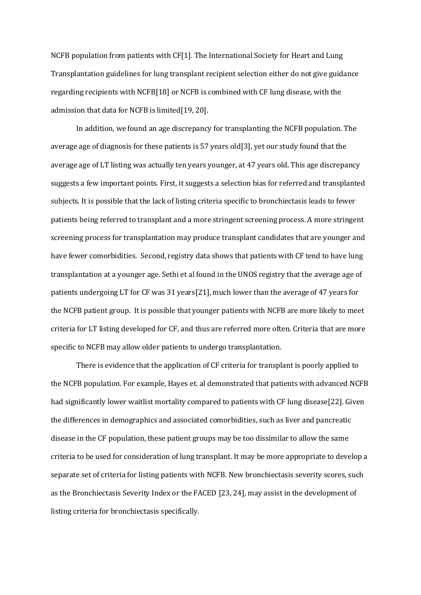NCFB population from patients with CF[1]. The International Society for Heart and Lung Transplantation guidelines for lung transplant recipient selection either do not give guidance regarding recipients with NCFB[18] or NCFB is combined with CF lung disease, with the admission that data for NCFB is limited[19, 20].

In addition, we found an age discrepancy for transplanting the NCFB population. The average age of diagnosis for these patients is 57 years old[3], yet our study found that the average age of LT listing was actually ten years younger, at 47 years old. This age discrepancy suggests a few important points. First, it suggests a selection bias for referred and transplanted subjects. It is possible that the lack of listing criteria specific to bronchiectasis leads to fewer patients being referred to transplant and a more stringent screening process. A more stringent screening process for transplantation may produce transplant candidates that are younger and have fewer comorbidities. Second, registry data shows that patients with CF tend to have lung transplantation at a younger age. Sethi et al found in the UNOS registry that the average age of patients undergoing LT for CF was 31 years[21], much lower than the average of 47 years for the NCFB patient group. It is possible that younger patients with NCFB are more likely to meet criteria for LT listing developed for CF, and thus are referred more often. Criteria that are more specific to NCFB may allow older patients to undergo transplantation.

There is evidence that the application of CF criteria for transplant is poorly applied to the NCFB population. For example, Hayes et. al demonstrated that patients with advanced NCFB had significantly lower waitlist mortality compared to patients with CF lung disease[22]. Given the differences in demographics and associated comorbidities, such as liver and pancreatic disease in the CF population, these patient groups may be too dissimilar to allow the same criteria to be used for consideration of lung transplant. It may be more appropriate to develop a separate set of criteria for listing patients with NCFB. New bronchiectasis severity scores, such as the Bronchiectasis Severity Index or the FACED [23, 24], may assist in the development of listing criteria for bronchiectasis specifically.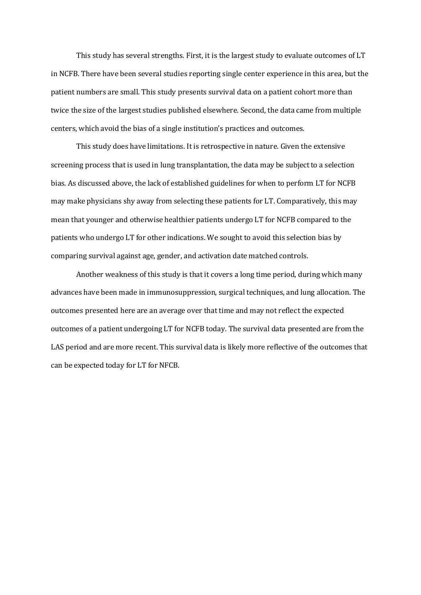This study has several strengths. First, it is the largest study to evaluate outcomes of LT in NCFB. There have been several studies reporting single center experience in this area, but the patient numbers are small. This study presents survival data on a patient cohort more than twice the size of the largest studies published elsewhere. Second, the data came from multiple centers, which avoid the bias of a single institution's practices and outcomes.

This study does have limitations. It is retrospective in nature. Given the extensive screening process that is used in lung transplantation, the data may be subject to a selection bias. As discussed above, the lack of established guidelines for when to perform LT for NCFB may make physicians shy away from selecting these patients for LT. Comparatively, this may mean that younger and otherwise healthier patients undergo LT for NCFB compared to the patients who undergo LT for other indications. We sought to avoid this selection bias by comparing survival against age, gender, and activation date matched controls.

Another weakness of this study is that it covers a long time period, during which many advances have been made in immunosuppression, surgical techniques, and lung allocation. The outcomes presented here are an average over that time and may not reflect the expected outcomes of a patient undergoing LT for NCFB today. The survival data presented are from the LAS period and are more recent. This survival data is likely more reflective of the outcomes that can be expected today for LT for NFCB.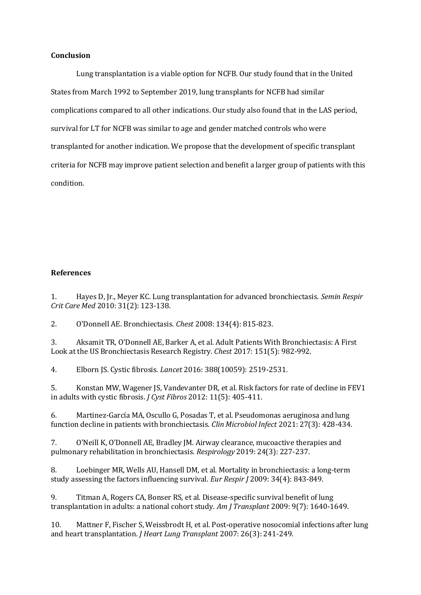## **Conclusion**

Lung transplantation is a viable option for NCFB. Our study found that in the United States from March 1992 to September 2019, lung transplants for NCFB had similar complications compared to all other indications. Our study also found that in the LAS period, survival for LT for NCFB was similar to age and gender matched controls who were transplanted for another indication. We propose that the development of specific transplant criteria for NCFB may improve patient selection and benefit a larger group of patients with this condition.

# **References**

1. Hayes D, Jr., Meyer KC. Lung transplantation for advanced bronchiectasis. *Semin Respir Crit Care Med* 2010: 31(2): 123-138.

2. O'Donnell AE. Bronchiectasis. *Chest* 2008: 134(4): 815-823.

3. Aksamit TR, O'Donnell AE, Barker A, et al. Adult Patients With Bronchiectasis: A First Look at the US Bronchiectasis Research Registry. *Chest* 2017: 151(5): 982-992.

4. Elborn JS. Cystic fibrosis. *Lancet* 2016: 388(10059): 2519-2531.

5. Konstan MW, Wagener JS, Vandevanter DR, et al. Risk factors for rate of decline in FEV1 in adults with cystic fibrosis. *J Cyst Fibros* 2012: 11(5): 405-411.

6. Martinez-García MA, Oscullo G, Posadas T, et al. Pseudomonas aeruginosa and lung function decline in patients with bronchiectasis. *Clin Microbiol Infect* 2021: 27(3): 428-434.

7. O'Neill K, O'Donnell AE, Bradley JM. Airway clearance, mucoactive therapies and pulmonary rehabilitation in bronchiectasis. *Respirology* 2019: 24(3): 227-237.

8. Loebinger MR, Wells AU, Hansell DM, et al. Mortality in bronchiectasis: a long-term study assessing the factors influencing survival. *Eur Respir J* 2009: 34(4): 843-849.

9. Titman A, Rogers CA, Bonser RS, et al. Disease-specific survival benefit of lung transplantation in adults: a national cohort study. *Am J Transplant* 2009: 9(7): 1640-1649.

10. Mattner F, Fischer S, Weissbrodt H, et al. Post-operative nosocomial infections after lung and heart transplantation. *J Heart Lung Transplant* 2007: 26(3): 241-249.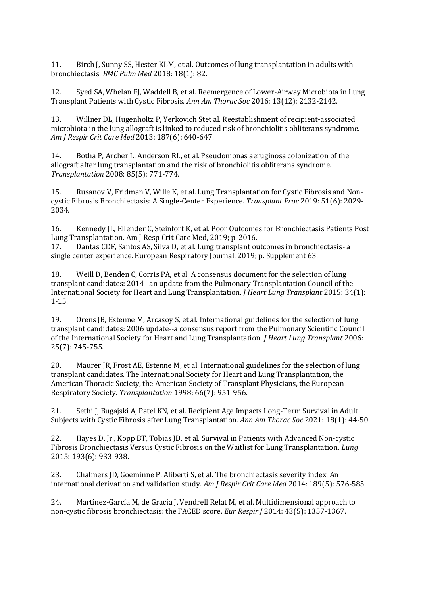11. Birch J, Sunny SS, Hester KLM, et al. Outcomes of lung transplantation in adults with bronchiectasis. *BMC Pulm Med* 2018: 18(1): 82.

12. Syed SA, Whelan FJ, Waddell B, et al. Reemergence of Lower-Airway Microbiota in Lung Transplant Patients with Cystic Fibrosis. *Ann Am Thorac Soc* 2016: 13(12): 2132-2142.

13. Willner DL, Hugenholtz P, Yerkovich Stet al. Reestablishment of recipient-associated microbiota in the lung allograft is linked to reduced risk of bronchiolitis obliterans syndrome. *Am J Respir Crit Care Med* 2013: 187(6): 640-647.

14. Botha P, Archer L, Anderson RL, et al. Pseudomonas aeruginosa colonization of the allograft after lung transplantation and the risk of bronchiolitis obliterans syndrome. *Transplantation* 2008: 85(5): 771-774.

15. Rusanov V, Fridman V, Wille K, et al. Lung Transplantation for Cystic Fibrosis and Noncystic Fibrosis Bronchiectasis: A Single-Center Experience. *Transplant Proc* 2019: 51(6): 2029- 2034.

16. Kennedy JL, Ellender C, Steinfort K, et al. Poor Outcomes for Bronchiectasis Patients Post Lung Transplantation. Am J Resp Crit Care Med, 2019; p. 2016.

17. Dantas CDF, Santos AS, Silva D, et al. Lung transplant outcomes in bronchiectasis- a single center experience. European Respiratory Journal, 2019; p. Supplement 63.

18. Weill D, Benden C, Corris PA, et al. A consensus document for the selection of lung transplant candidates: 2014--an update from the Pulmonary Transplantation Council of the International Society for Heart and Lung Transplantation. *J Heart Lung Transplant* 2015: 34(1): 1-15.

19. Orens JB, Estenne M, Arcasoy S, et al. International guidelines for the selection of lung transplant candidates: 2006 update--a consensus report from the Pulmonary Scientific Council of the International Society for Heart and Lung Transplantation. *J Heart Lung Transplant* 2006: 25(7): 745-755.

20. Maurer JR, Frost AE, Estenne M, et al. International guidelines for the selection of lung transplant candidates. The International Society for Heart and Lung Transplantation, the American Thoracic Society, the American Society of Transplant Physicians, the European Respiratory Society. *Transplantation* 1998: 66(7): 951-956.

21. Sethi J, Bugajski A, Patel KN, et al. Recipient Age Impacts Long-Term Survival in Adult Subjects with Cystic Fibrosis after Lung Transplantation. *Ann Am Thorac Soc* 2021: 18(1): 44-50.

22. Hayes D, Jr., Kopp BT, Tobias JD, et al. Survival in Patients with Advanced Non-cystic Fibrosis Bronchiectasis Versus Cystic Fibrosis on the Waitlist for Lung Transplantation. *Lung*  2015: 193(6): 933-938.

23. Chalmers JD, Goeminne P, Aliberti S, et al. The bronchiectasis severity index. An international derivation and validation study. *Am J Respir Crit Care Med* 2014: 189(5): 576-585.

24. Martínez-García M, de Gracia J, Vendrell Relat M, et al. Multidimensional approach to non-cystic fibrosis bronchiectasis: the FACED score. *Eur Respir J* 2014: 43(5): 1357-1367.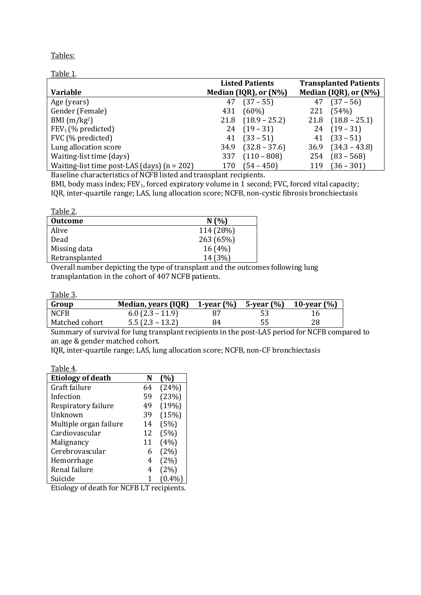Tables:

| Table 1.                                      |                        |                       |                              |                        |
|-----------------------------------------------|------------------------|-----------------------|------------------------------|------------------------|
|                                               | <b>Listed Patients</b> |                       | <b>Transplanted Patients</b> |                        |
| <b>Variable</b>                               |                        | Median (IQR), or (N%) |                              | Median (IQR), or (N%)  |
| Age (years)                                   | 47                     | $(37 - 55)$           | 47                           | $(37 - 56)$            |
| Gender (Female)                               | 431                    | $(60\%)$              | 221                          | (54%)                  |
| BMI $(m/kg2)$                                 | 21.8                   | $(18.9 - 25.2)$       |                              | $21.8$ $(18.8 - 25.1)$ |
| FEV <sub>1</sub> (% predicted)                | 24                     | $(19 - 31)$           |                              | $24(19-31)$            |
| FVC (% predicted)                             | 41                     | $(33 - 51)$           | 41                           | $(33 - 51)$            |
| Lung allocation score                         | 34.9                   | $(32.8 - 37.6)$       | 36.9                         | $(34.3 - 43.8)$        |
| Waiting-list time (days)                      | 337                    | $(110 - 808)$         | 254                          | $(83 - 568)$           |
| Waiting-list time post-LAS (days) $(n = 202)$ | 170                    | $(54 - 450)$          | 119                          | $(36 - 301)$           |

Baseline characteristics of NCFB listed and transplant recipients.

BMI, body mass index; FEV<sub>1</sub>, forced expiratory volume in 1 second; FVC, forced vital capacity; IQR, inter-quartile range; LAS, lung allocation score; NCFB, non-cystic fibrosis bronchiectasis

| Table 2.       |           |
|----------------|-----------|
| <b>Outcome</b> | N(%)      |
| Alive          | 114 (28%) |
| Dead           | 263 (65%) |
| Missing data   | 16(4%)    |
| Retransplanted | 14 (3%)   |

Overall number depicting the type of transplant and the outcomes following lung transplantation in the cohort of 407 NCFB patients.

Table 3.

| Group          | Median, years $(IQR)$ 1-year $(\%)$ 5-year $(\%)$ 10-year $(\%)$ |    |     |    |
|----------------|------------------------------------------------------------------|----|-----|----|
| <b>NCFB</b>    | $6.0$ (2.3 – 11.9)                                               | 87 | -53 | 16 |
| Matched cohort | $5.5(2.3 - 13.2)$                                                | 84 | 55  | 28 |

Summary of survival for lung transplant recipients in the post-LAS period for NCFB compared to an age & gender matched cohort.

IQR, inter-quartile range; LAS, lung allocation score; NCFB, non-CF bronchiectasis

| Table 4.                 |    |           |
|--------------------------|----|-----------|
| <b>Etiology of death</b> | N  | (%)       |
| Graft failure            | 64 | (24%)     |
| Infection                | 59 | (23%)     |
| Respiratory failure      | 49 | (19%)     |
| Unknown                  | 39 | (15%)     |
| Multiple organ failure   | 14 | (5%)      |
| Cardiovascular           | 12 | (5%)      |
| Malignancy               | 11 | (4%)      |
| Cerebrovascular          | 6  | (2%)      |
| Hemorrhage               | 4  | (2%)      |
| Renal failure            | 4  | (2%)      |
| Suicide                  |    | $(0.4\%)$ |

Etiology of death for NCFB LT recipients.